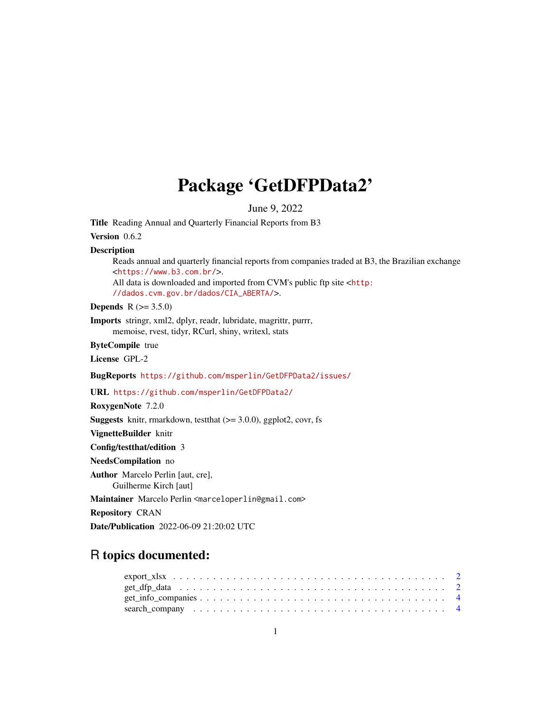## Package 'GetDFPData2'

June 9, 2022

Title Reading Annual and Quarterly Financial Reports from B3

Version 0.6.2

#### Description

Reads annual and quarterly financial reports from companies traded at B3, the Brazilian exchange <<https://www.b3.com.br/>>.

All data is downloaded and imported from CVM's public ftp site <[http:](http://dados.cvm.gov.br/dados/CIA_ABERTA/) [//dados.cvm.gov.br/dados/CIA\\_ABERTA/](http://dados.cvm.gov.br/dados/CIA_ABERTA/)>.

**Depends** R  $(>= 3.5.0)$ 

Imports stringr, xml2, dplyr, readr, lubridate, magrittr, purrr, memoise, rvest, tidyr, RCurl, shiny, writexl, stats

ByteCompile true

License GPL-2

BugReports <https://github.com/msperlin/GetDFPData2/issues/>

URL <https://github.com/msperlin/GetDFPData2/>

RoxygenNote 7.2.0

**Suggests** knitr, rmarkdown, test that  $(>= 3.0.0)$ , ggplot2, covr, fs

VignetteBuilder knitr

Config/testthat/edition 3

NeedsCompilation no

Author Marcelo Perlin [aut, cre], Guilherme Kirch [aut]

Maintainer Marcelo Perlin <marceloperlin@gmail.com>

Repository CRAN

Date/Publication 2022-06-09 21:20:02 UTC

### R topics documented:

| $get\_info\_companies \ldots \ldots \ldots \ldots \ldots \ldots \ldots \ldots \ldots \ldots \ldots$ |  |  |  |  |  |  |  |  |  |  |  |  |  |  |  |  |  |
|-----------------------------------------------------------------------------------------------------|--|--|--|--|--|--|--|--|--|--|--|--|--|--|--|--|--|
|                                                                                                     |  |  |  |  |  |  |  |  |  |  |  |  |  |  |  |  |  |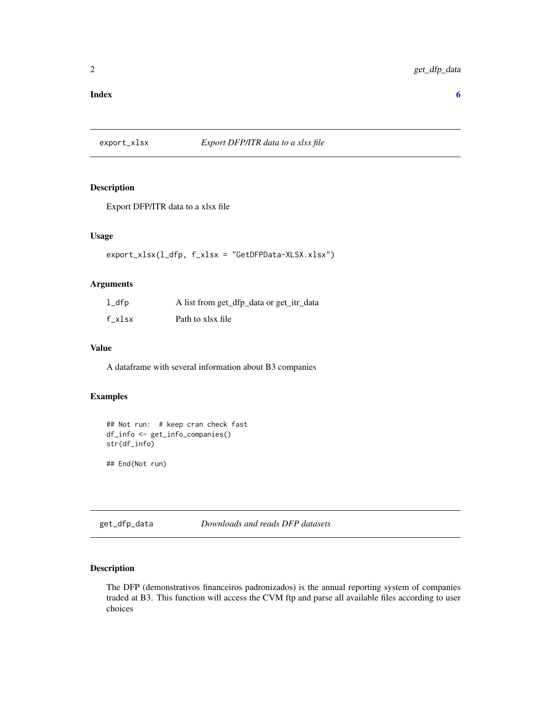#### <span id="page-1-0"></span>**Index** [6](#page-5-0) **6**

#### export\_xlsx *Export DFP/ITR data to a xlsx file*

#### Description

Export DFP/ITR data to a xlsx file

#### Usage

export\_xlsx(l\_dfp, f\_xlsx = "GetDFPData-XLSX.xlsx")

#### Arguments

| $1$ _dfp | A list from get_dfp_data or get_itr_data |
|----------|------------------------------------------|
| f xlsx   | Path to xlsx file                        |

#### Value

A dataframe with several information about B3 companies

#### Examples

```
## Not run: # keep cran check fast
df_info <- get_info_companies()
str(df_info)
```
## End(Not run)

get\_dfp\_data *Downloads and reads DFP datasets*

#### Description

The DFP (demonstrativos financeiros padronizados) is the annual reporting system of companies traded at B3. This function will access the CVM ftp and parse all available files according to user choices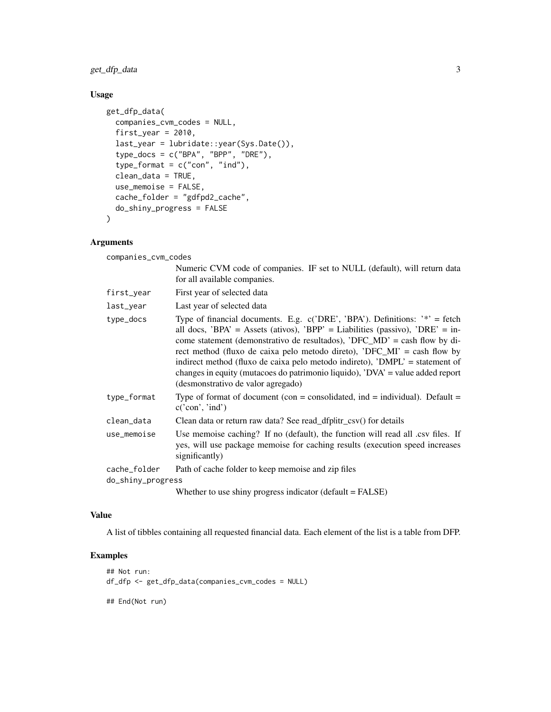get\_dfp\_data 3

#### Usage

```
get_dfp_data(
  companies_cvm_codes = NULL,
  first_year = 2010,
  last_year = lubridate::year(Sys.Date()),
  type_docs = c("BPA", "BPP", "DRE"),
  type_format = c("con", "ind"),clean_data = TRUE,
  use_memoise = FALSE,
  cache_folder = "gdfpd2_cache",
  do_shiny_progress = FALSE
\mathcal{L}
```
#### Arguments

companies\_cvm\_codes

|                   | Numeric CVM code of companies. IF set to NULL (default), will return data<br>for all available companies.                                                                                                                                                                                                                                                                                                                                                                                                                        |
|-------------------|----------------------------------------------------------------------------------------------------------------------------------------------------------------------------------------------------------------------------------------------------------------------------------------------------------------------------------------------------------------------------------------------------------------------------------------------------------------------------------------------------------------------------------|
| first_year        | First year of selected data                                                                                                                                                                                                                                                                                                                                                                                                                                                                                                      |
| last_year         | Last year of selected data                                                                                                                                                                                                                                                                                                                                                                                                                                                                                                       |
| type_docs         | Type of financial documents. E.g. $c('DRE', 'BPA')$ . Definitions: $'$ = fetch<br>all docs, 'BPA' = Assets (ativos), 'BPP' = Liabilities (passivo), 'DRE' = in-<br>come statement (demonstrativo de resultados), 'DFC_MD' = cash flow by di-<br>rect method (fluxo de caixa pelo metodo direto), 'DFC_MI' = cash flow by<br>indirect method (fluxo de caixa pelo metodo indireto), 'DMPL' = statement of<br>changes in equity (mutacoes do patrimonio liquido), 'DVA' = value added report<br>(desmonstrativo de valor agregado) |
| type_format       | Type of format of document (con = consolidated, ind = individual). Default =<br>c('con', 'ind')                                                                                                                                                                                                                                                                                                                                                                                                                                  |
| clean_data        | Clean data or return raw data? See read_dfplitr_csv() for details                                                                                                                                                                                                                                                                                                                                                                                                                                                                |
| use_memoise       | Use memoise caching? If no (default), the function will read all .csv files. If<br>yes, will use package memoise for caching results (execution speed increases<br>significantly)                                                                                                                                                                                                                                                                                                                                                |
| cache_folder      | Path of cache folder to keep memoise and zip files                                                                                                                                                                                                                                                                                                                                                                                                                                                                               |
| do_shiny_progress |                                                                                                                                                                                                                                                                                                                                                                                                                                                                                                                                  |
|                   | Whether to use shiny progress indicator (default $=$ FALSE)                                                                                                                                                                                                                                                                                                                                                                                                                                                                      |

#### Value

A list of tibbles containing all requested financial data. Each element of the list is a table from DFP.

#### Examples

```
## Not run:
df_dfp <- get_dfp_data(companies_cvm_codes = NULL)
```
## End(Not run)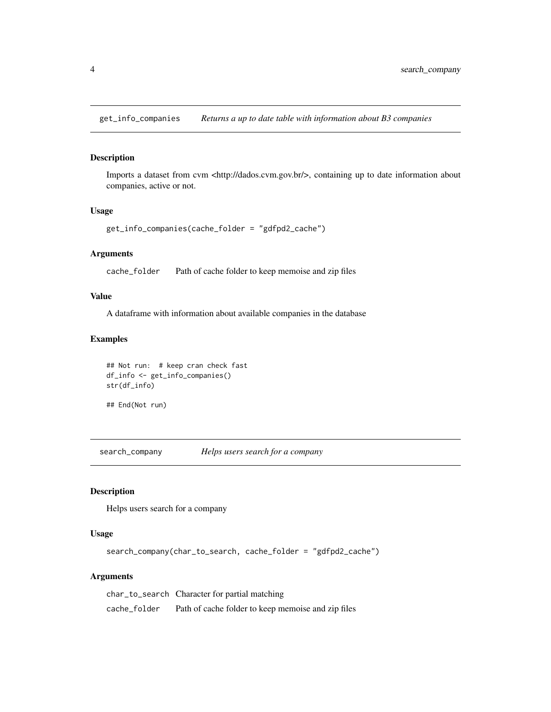<span id="page-3-0"></span>get\_info\_companies *Returns a up to date table with information about B3 companies*

#### Description

Imports a dataset from cvm <http://dados.cvm.gov.br/>, containing up to date information about companies, active or not.

#### Usage

```
get_info_companies(cache_folder = "gdfpd2_cache")
```
#### Arguments

cache\_folder Path of cache folder to keep memoise and zip files

#### Value

A dataframe with information about available companies in the database

#### Examples

```
## Not run: # keep cran check fast
df_info <- get_info_companies()
str(df_info)
```
## End(Not run)

search\_company *Helps users search for a company*

#### Description

Helps users search for a company

#### Usage

search\_company(char\_to\_search, cache\_folder = "gdfpd2\_cache")

#### Arguments

char\_to\_search Character for partial matching cache\_folder Path of cache folder to keep memoise and zip files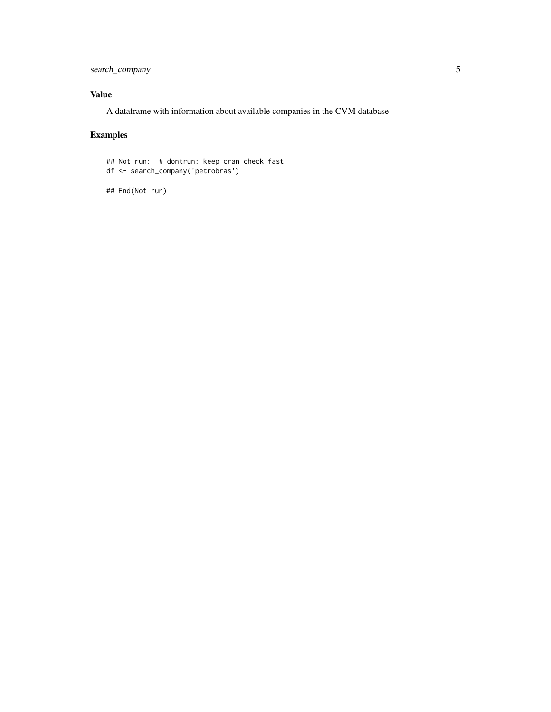search\_company 5

#### Value

A dataframe with information about available companies in the CVM database

#### Examples

## Not run: # dontrun: keep cran check fast df <- search\_company('petrobras')

## End(Not run)